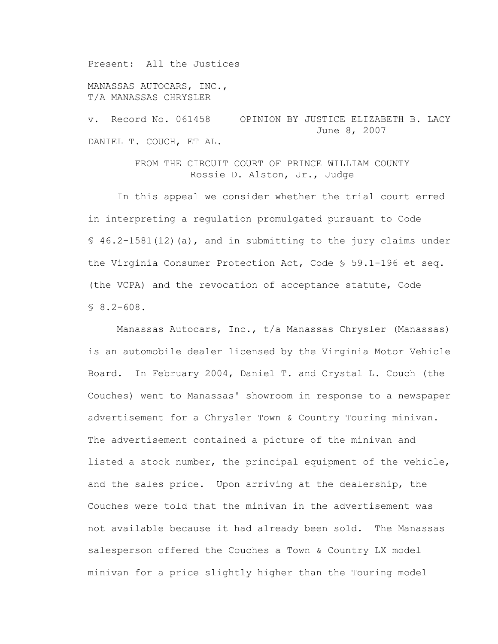Present: All the Justices

MANASSAS AUTOCARS, INC., T/A MANASSAS CHRYSLER

v. Record No. 061458 OPINION BY JUSTICE ELIZABETH B. LACY June 8, 2007 DANIEL T. COUCH, ET AL.

> FROM THE CIRCUIT COURT OF PRINCE WILLIAM COUNTY Rossie D. Alston, Jr., Judge

 In this appeal we consider whether the trial court erred in interpreting a regulation promulgated pursuant to Code § 46.2-1581(12)(a), and in submitting to the jury claims under the Virginia Consumer Protection Act, Code § 59.1-196 et seq. (the VCPA) and the revocation of acceptance statute, Code  $$8.2-608.$ 

 Manassas Autocars, Inc., t/a Manassas Chrysler (Manassas) is an automobile dealer licensed by the Virginia Motor Vehicle Board. In February 2004, Daniel T. and Crystal L. Couch (the Couches) went to Manassas' showroom in response to a newspaper advertisement for a Chrysler Town & Country Touring minivan. The advertisement contained a picture of the minivan and listed a stock number, the principal equipment of the vehicle, and the sales price. Upon arriving at the dealership, the Couches were told that the minivan in the advertisement was not available because it had already been sold. The Manassas salesperson offered the Couches a Town & Country LX model minivan for a price slightly higher than the Touring model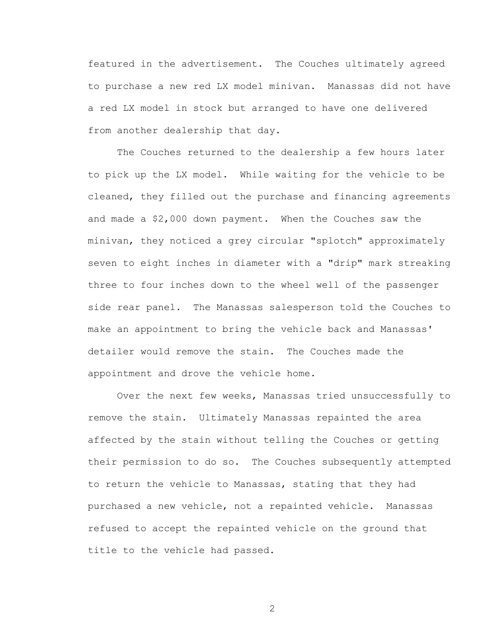featured in the advertisement. The Couches ultimately agreed to purchase a new red LX model minivan. Manassas did not have a red LX model in stock but arranged to have one delivered from another dealership that day.

The Couches returned to the dealership a few hours later to pick up the LX model. While waiting for the vehicle to be cleaned, they filled out the purchase and financing agreements and made a \$2,000 down payment. When the Couches saw the minivan, they noticed a grey circular "splotch" approximately seven to eight inches in diameter with a "drip" mark streaking three to four inches down to the wheel well of the passenger side rear panel. The Manassas salesperson told the Couches to make an appointment to bring the vehicle back and Manassas' detailer would remove the stain. The Couches made the appointment and drove the vehicle home.

Over the next few weeks, Manassas tried unsuccessfully to remove the stain. Ultimately Manassas repainted the area affected by the stain without telling the Couches or getting their permission to do so. The Couches subsequently attempted to return the vehicle to Manassas, stating that they had purchased a new vehicle, not a repainted vehicle. Manassas refused to accept the repainted vehicle on the ground that title to the vehicle had passed.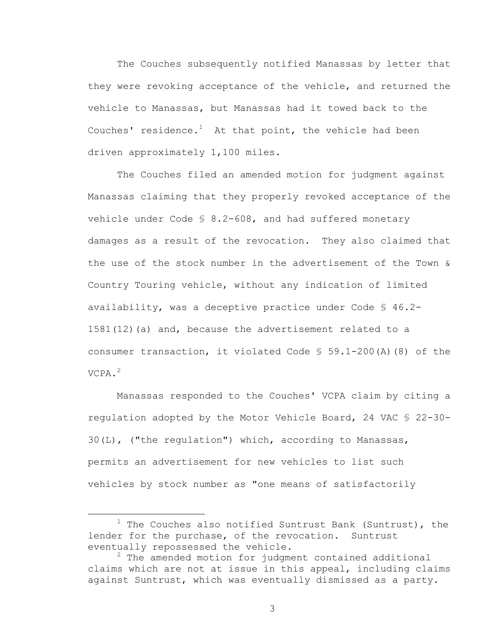The Couches subsequently notified Manassas by letter that they were revoking acceptance of the vehicle, and returned the vehicle to Manassas, but Manassas had it towed back to the Couches' residence. $^1$  At that point, the vehicle had been driven approximately 1,100 miles.

 The Couches filed an amended motion for judgment against Manassas claiming that they properly revoked acceptance of the vehicle under Code § 8.2-608, and had suffered monetary damages as a result of the revocation. They also claimed that the use of the stock number in the advertisement of the Town & Country Touring vehicle, without any indication of limited availability, was a deceptive practice under Code § 46.2- 1581(12)(a) and, because the advertisement related to a consumer transaction, it violated Code § 59.1-200(A)(8) of the VCPA.<sup>2</sup>

 Manassas responded to the Couches' VCPA claim by citing a regulation adopted by the Motor Vehicle Board, 24 VAC § 22-30- 30(L), ("the regulation") which, according to Manassas, permits an advertisement for new vehicles to list such vehicles by stock number as "one means of satisfactorily

 $\overline{\phantom{a}}$  $1$  The Couches also notified Suntrust Bank (Suntrust), the lender for the purchase, of the revocation. Suntrust eventually repossessed the vehicle.

 $^2$  The amended motion for judgment contained additional claims which are not at issue in this appeal, including claims against Suntrust, which was eventually dismissed as a party.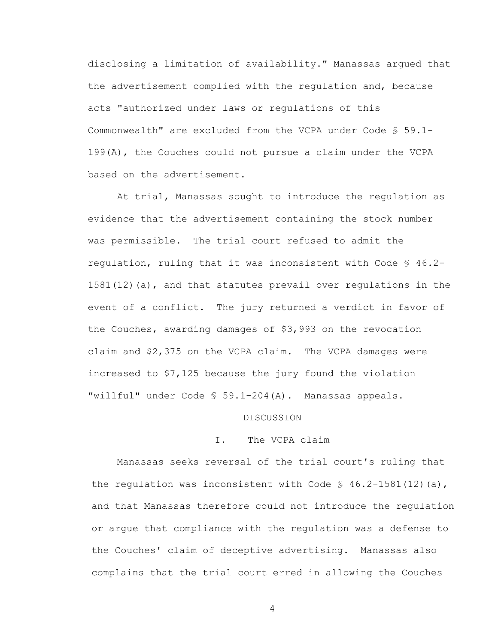disclosing a limitation of availability." Manassas argued that the advertisement complied with the regulation and, because acts "authorized under laws or regulations of this Commonwealth" are excluded from the VCPA under Code § 59.1- 199(A), the Couches could not pursue a claim under the VCPA based on the advertisement.

 At trial, Manassas sought to introduce the regulation as evidence that the advertisement containing the stock number was permissible. The trial court refused to admit the regulation, ruling that it was inconsistent with Code § 46.2- 1581(12)(a), and that statutes prevail over regulations in the event of a conflict. The jury returned a verdict in favor of the Couches, awarding damages of \$3,993 on the revocation claim and \$2,375 on the VCPA claim. The VCPA damages were increased to \$7,125 because the jury found the violation "willful" under Code § 59.1-204(A). Manassas appeals.

## DISCUSSION

## I. The VCPA claim

Manassas seeks reversal of the trial court's ruling that the regulation was inconsistent with Code  $\frac{1}{5}$  46.2-1581(12)(a), and that Manassas therefore could not introduce the regulation or argue that compliance with the regulation was a defense to the Couches' claim of deceptive advertising. Manassas also complains that the trial court erred in allowing the Couches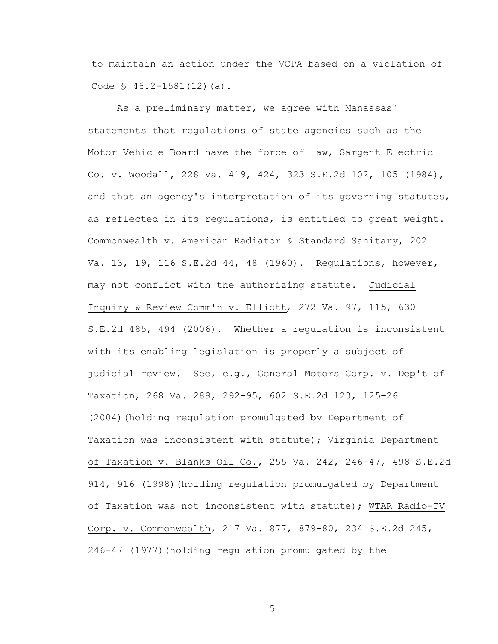to maintain an action under the VCPA based on a violation of Code § 46.2-1581(12)(a).

 As a preliminary matter, we agree with Manassas' statements that regulations of state agencies such as the Motor Vehicle Board have the force of law, Sargent Electric Co. v. Woodall, 228 Va. 419, 424, 323 S.E.2d 102, 105 (1984), and that an agency's interpretation of its governing statutes, as reflected in its requlations, is entitled to great weight. Commonwealth v. American Radiator & Standard Sanitary, 202 Va. 13, 19, 116 S.E.2d 44, 48 (1960). Regulations, however, may not conflict with the authorizing statute. Judicial Inquiry & Review Comm'n v. Elliott*,* 272 Va. 97, 115, 630 S.E.2d 485, 494 (2006). Whether a regulation is inconsistent with its enabling legislation is properly a subject of judicial review. See, e.g., General Motors Corp. v. Dep't of Taxation, 268 Va. 289, 292-95, 602 S.E.2d 123, 125-26 (2004)(holding regulation promulgated by Department of Taxation was inconsistent with statute); Virginia Department of Taxation v. Blanks Oil Co., 255 Va. 242, 246-47, 498 S.E.2d 914, 916 (1998)(holding regulation promulgated by Department of Taxation was not inconsistent with statute); WTAR Radio-TV Corp. v. Commonwealth, 217 Va. 877, 879-80, 234 S.E.2d 245, 246-47 (1977)(holding regulation promulgated by the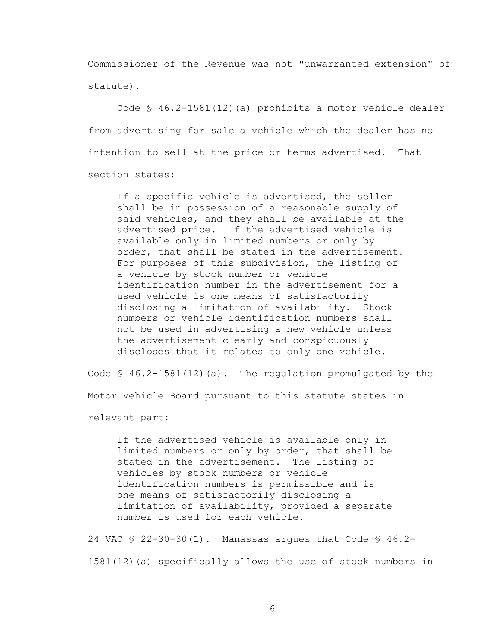Commissioner of the Revenue was not "unwarranted extension" of statute).

Code § 46.2-1581(12)(a) prohibits a motor vehicle dealer from advertising for sale a vehicle which the dealer has no intention to sell at the price or terms advertised. That section states:

If a specific vehicle is advertised, the seller shall be in possession of a reasonable supply of said vehicles, and they shall be available at the advertised price. If the advertised vehicle is available only in limited numbers or only by order, that shall be stated in the advertisement. For purposes of this subdivision, the listing of a vehicle by stock number or vehicle identification number in the advertisement for a used vehicle is one means of satisfactorily disclosing a limitation of availability. Stock numbers or vehicle identification numbers shall not be used in advertising a new vehicle unless the advertisement clearly and conspicuously discloses that it relates to only one vehicle.

Code  $\$$  46.2-1581(12)(a). The regulation promulgated by the Motor Vehicle Board pursuant to this statute states in

relevant part:

If the advertised vehicle is available only in limited numbers or only by order, that shall be stated in the advertisement. The listing of vehicles by stock numbers or vehicle identification numbers is permissible and is one means of satisfactorily disclosing a limitation of availability, provided a separate number is used for each vehicle.

24 VAC § 22-30-30(L). Manassas argues that Code § 46.2- 1581(12)(a) specifically allows the use of stock numbers in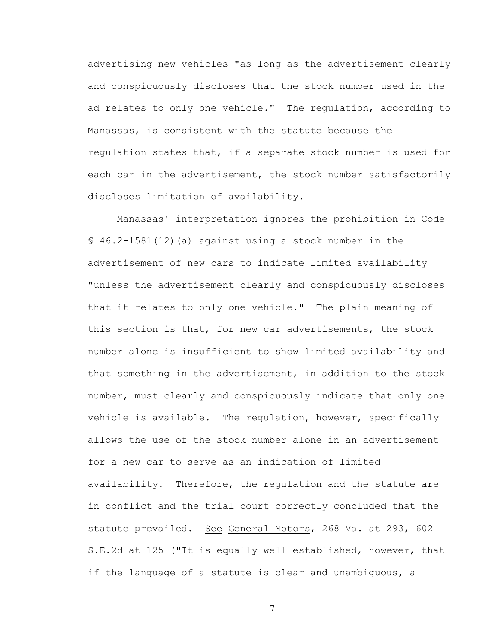advertising new vehicles "as long as the advertisement clearly and conspicuously discloses that the stock number used in the ad relates to only one vehicle." The regulation, according to Manassas, is consistent with the statute because the regulation states that, if a separate stock number is used for each car in the advertisement, the stock number satisfactorily discloses limitation of availability.

Manassas' interpretation ignores the prohibition in Code § 46.2-1581(12)(a) against using a stock number in the advertisement of new cars to indicate limited availability "unless the advertisement clearly and conspicuously discloses that it relates to only one vehicle." The plain meaning of this section is that, for new car advertisements, the stock number alone is insufficient to show limited availability and that something in the advertisement, in addition to the stock number, must clearly and conspicuously indicate that only one vehicle is available. The regulation, however, specifically allows the use of the stock number alone in an advertisement for a new car to serve as an indication of limited availability. Therefore, the regulation and the statute are in conflict and the trial court correctly concluded that the statute prevailed. See General Motors, 268 Va. at 293, 602 S.E.2d at 125 ("It is equally well established, however, that if the language of a statute is clear and unambiguous, a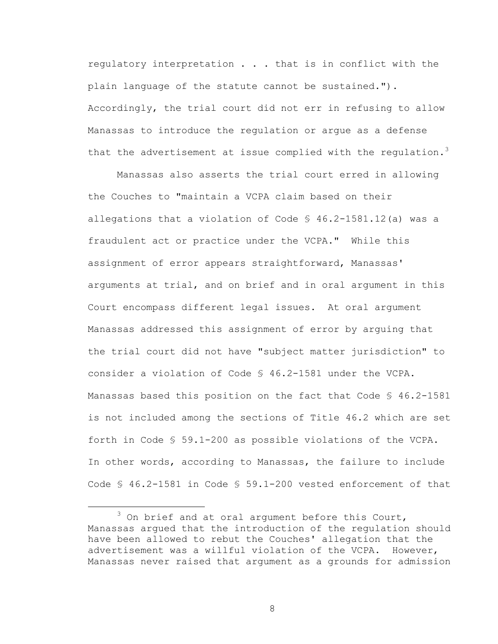regulatory interpretation . . . that is in conflict with the plain language of the statute cannot be sustained."). Accordingly, the trial court did not err in refusing to allow Manassas to introduce the regulation or argue as a defense that the advertisement at issue complied with the regulation.<sup>3</sup>

 Manassas also asserts the trial court erred in allowing the Couches to "maintain a VCPA claim based on their allegations that a violation of Code § 46.2-1581.12(a) was a fraudulent act or practice under the VCPA." While this assignment of error appears straightforward, Manassas' arguments at trial, and on brief and in oral argument in this Court encompass different legal issues. At oral argument Manassas addressed this assignment of error by arguing that the trial court did not have "subject matter jurisdiction" to consider a violation of Code § 46.2-1581 under the VCPA. Manassas based this position on the fact that Code § 46.2-1581 is not included among the sections of Title 46.2 which are set forth in Code § 59.1-200 as possible violations of the VCPA. In other words, according to Manassas, the failure to include Code § 46.2-1581 in Code § 59.1-200 vested enforcement of that

 $\frac{1}{3}$  $3$  On brief and at oral argument before this Court, Manassas argued that the introduction of the regulation should have been allowed to rebut the Couches' allegation that the advertisement was a willful violation of the VCPA. However, Manassas never raised that argument as a grounds for admission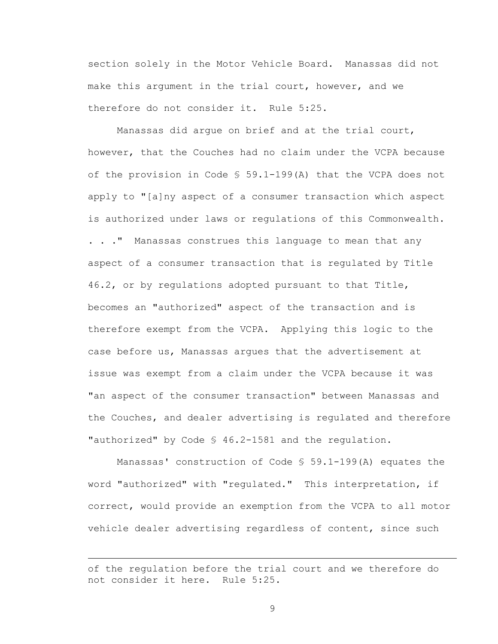section solely in the Motor Vehicle Board. Manassas did not make this argument in the trial court, however, and we therefore do not consider it. Rule 5:25.

Manassas did argue on brief and at the trial court, however, that the Couches had no claim under the VCPA because of the provision in Code § 59.1-199(A) that the VCPA does not apply to "[a]ny aspect of a consumer transaction which aspect is authorized under laws or regulations of this Commonwealth. . . ." Manassas construes this language to mean that any aspect of a consumer transaction that is regulated by Title 46.2, or by regulations adopted pursuant to that Title, becomes an "authorized" aspect of the transaction and is therefore exempt from the VCPA. Applying this logic to the case before us, Manassas argues that the advertisement at issue was exempt from a claim under the VCPA because it was "an aspect of the consumer transaction" between Manassas and the Couches, and dealer advertising is regulated and therefore "authorized" by Code § 46.2-1581 and the regulation.

Manassas' construction of Code § 59.1-199(A) equates the word "authorized" with "regulated." This interpretation, if correct, would provide an exemption from the VCPA to all motor vehicle dealer advertising regardless of content, since such

i<br>Li

of the regulation before the trial court and we therefore do not consider it here. Rule 5:25.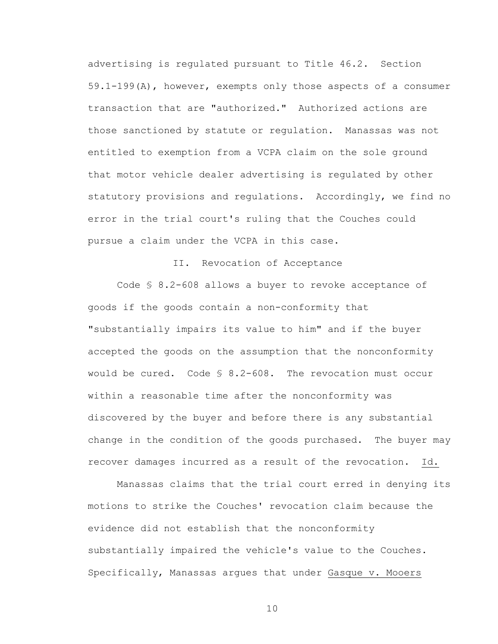advertising is regulated pursuant to Title 46.2. Section 59.1-199(A), however, exempts only those aspects of a consumer transaction that are "authorized." Authorized actions are those sanctioned by statute or regulation. Manassas was not entitled to exemption from a VCPA claim on the sole ground that motor vehicle dealer advertising is regulated by other statutory provisions and regulations. Accordingly, we find no error in the trial court's ruling that the Couches could pursue a claim under the VCPA in this case.

## II. Revocation of Acceptance

 Code § 8.2-608 allows a buyer to revoke acceptance of goods if the goods contain a non-conformity that "substantially impairs its value to him" and if the buyer accepted the goods on the assumption that the nonconformity would be cured. Code § 8.2-608. The revocation must occur within a reasonable time after the nonconformity was discovered by the buyer and before there is any substantial change in the condition of the goods purchased. The buyer may recover damages incurred as a result of the revocation. Id.

 Manassas claims that the trial court erred in denying its motions to strike the Couches' revocation claim because the evidence did not establish that the nonconformity substantially impaired the vehicle's value to the Couches. Specifically, Manassas argues that under Gasque v. Mooers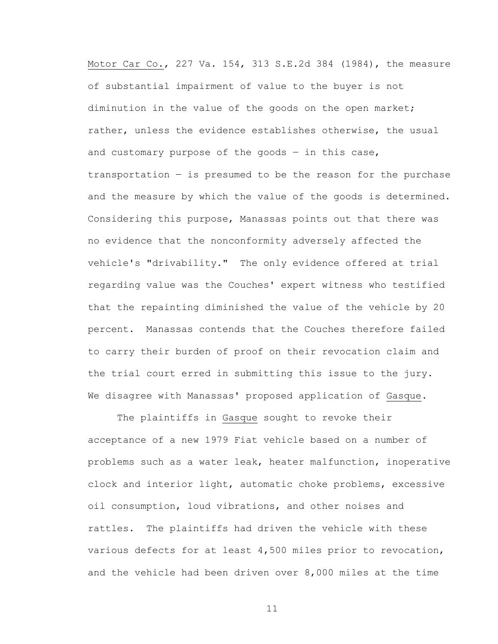Motor Car Co., 227 Va. 154, 313 S.E.2d 384 (1984), the measure of substantial impairment of value to the buyer is not diminution in the value of the goods on the open market; rather, unless the evidence establishes otherwise, the usual and customary purpose of the goods  $-$  in this case, transportation  $-$  is presumed to be the reason for the purchase and the measure by which the value of the goods is determined. Considering this purpose, Manassas points out that there was no evidence that the nonconformity adversely affected the vehicle's "drivability." The only evidence offered at trial regarding value was the Couches' expert witness who testified that the repainting diminished the value of the vehicle by 20 percent. Manassas contends that the Couches therefore failed to carry their burden of proof on their revocation claim and the trial court erred in submitting this issue to the jury. We disagree with Manassas' proposed application of Gasque.

The plaintiffs in Gasque sought to revoke their acceptance of a new 1979 Fiat vehicle based on a number of problems such as a water leak, heater malfunction, inoperative clock and interior light, automatic choke problems, excessive oil consumption, loud vibrations, and other noises and rattles. The plaintiffs had driven the vehicle with these various defects for at least 4,500 miles prior to revocation, and the vehicle had been driven over 8,000 miles at the time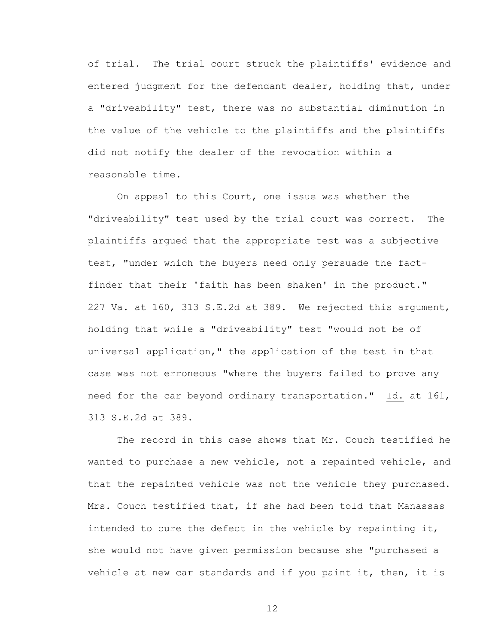of trial. The trial court struck the plaintiffs' evidence and entered judgment for the defendant dealer, holding that, under a "driveability" test, there was no substantial diminution in the value of the vehicle to the plaintiffs and the plaintiffs did not notify the dealer of the revocation within a reasonable time.

On appeal to this Court, one issue was whether the "driveability" test used by the trial court was correct. The plaintiffs argued that the appropriate test was a subjective test, "under which the buyers need only persuade the factfinder that their 'faith has been shaken' in the product." 227 Va. at 160, 313 S.E.2d at 389. We rejected this argument, holding that while a "driveability" test "would not be of universal application," the application of the test in that case was not erroneous "where the buyers failed to prove any need for the car beyond ordinary transportation." Id. at 161, 313 S.E.2d at 389.

The record in this case shows that Mr. Couch testified he wanted to purchase a new vehicle, not a repainted vehicle, and that the repainted vehicle was not the vehicle they purchased. Mrs. Couch testified that, if she had been told that Manassas intended to cure the defect in the vehicle by repainting it, she would not have given permission because she "purchased a vehicle at new car standards and if you paint it, then, it is